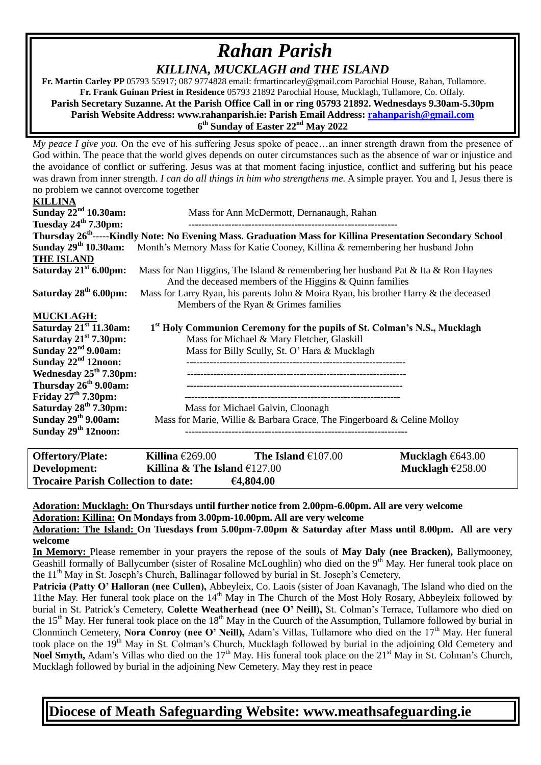## *Rahan Parish KILLINA, MUCKLAGH and THE ISLAND*

 **Fr. Martin Carley PP** 05793 55917; 087 9774828 email: frmartincarley@gmail.com Parochial House, Rahan, Tullamore. **Fr. Frank Guinan Priest in Residence** 05793 21892 Parochial House, Mucklagh, Tullamore, Co. Offaly. **Parish Secretary Suzanne. At the Parish Office Call in or ring 05793 21892. Wednesdays 9.30am-5.30pm Parish Website Address: www.rahanparish.ie: Parish Email Address: [rahanparish@gmail.com](mailto:rahanparish@gmail.com) 6 th Sunday of Easter 22nd May 2022**

*My peace I give you.* On the eve of his suffering Jesus spoke of peace...an inner strength drawn from the presence of God within. The peace that the world gives depends on outer circumstances such as the absence of war or injustice and the avoidance of conflict or suffering. Jesus was at that moment facing injustice, conflict and suffering but his peace was drawn from inner strength. *I can do all things in him who strengthens me.* A simple prayer. You and I, Jesus there is no problem we cannot overcome together

| <b>KILLINA</b>                                                                                                         |                                                                                      |  |  |  |
|------------------------------------------------------------------------------------------------------------------------|--------------------------------------------------------------------------------------|--|--|--|
| Sunday $22nd 10.30$ am:                                                                                                | Mass for Ann McDermott, Dernanaugh, Rahan                                            |  |  |  |
| Tuesday $24th 7.30$ pm:                                                                                                |                                                                                      |  |  |  |
| Thursday 26 <sup>th</sup> -----Kindly Note: No Evening Mass. Graduation Mass for Killina Presentation Secondary School |                                                                                      |  |  |  |
| Sunday 29 <sup>th</sup> 10.30am:                                                                                       | Month's Memory Mass for Katie Cooney, Killina & remembering her husband John         |  |  |  |
| <b>THE ISLAND</b>                                                                                                      |                                                                                      |  |  |  |
| Saturday $21st 6.00 \text{pm}$ :                                                                                       | Mass for Nan Higgins, The Island & remembering her husband Pat & Ita & Ron Haynes    |  |  |  |
|                                                                                                                        | And the deceased members of the Higgins $&$ Quinn families                           |  |  |  |
| Saturday 28 <sup>th</sup> 6.00pm:                                                                                      | Mass for Larry Ryan, his parents John & Moira Ryan, his brother Harry & the deceased |  |  |  |
|                                                                                                                        | Members of the Ryan & Grimes families                                                |  |  |  |
| <b>MUCKLAGH:</b>                                                                                                       |                                                                                      |  |  |  |
| Saturday $21st 11.30$ am:<br>1 <sup>st</sup> Holy Communion Ceremony for the pupils of St. Colman's N.S., Mucklagh     |                                                                                      |  |  |  |
| Saturday 21 <sup>st</sup> 7.30pm:                                                                                      | Mass for Michael & Mary Fletcher, Glaskill                                           |  |  |  |
| Sunday $22nd$ 9.00am:                                                                                                  | Mass for Billy Scully, St. O' Hara & Mucklagh                                        |  |  |  |
| Sunday $22nd 12$ noon:                                                                                                 |                                                                                      |  |  |  |
| Wednesday $25th 7.30$ pm:                                                                                              |                                                                                      |  |  |  |
| Thursday 26 <sup>th</sup> 9.00am:                                                                                      |                                                                                      |  |  |  |
| Friday $27th 7.30$ pm:                                                                                                 |                                                                                      |  |  |  |
| Saturday 28 <sup>th</sup> 7.30pm:                                                                                      | Mass for Michael Galvin, Cloonagh                                                    |  |  |  |
| Sunday $29th$ 9.00am:                                                                                                  | Mass for Marie, Willie & Barbara Grace, The Fingerboard & Celine Molloy              |  |  |  |
| Sunday 29 <sup>th</sup> 12noon:                                                                                        |                                                                                      |  |  |  |
|                                                                                                                        |                                                                                      |  |  |  |

| <b>Offertory/Plate:</b>                    | Killina $\epsilon$ 269.00      | The Island $€107.00$ | Mucklagh $\epsilon$ 643.00 |
|--------------------------------------------|--------------------------------|----------------------|----------------------------|
| Development:                               | Killina & The Island $£127.00$ |                      | Mucklagh $£258.00$         |
| <b>Trocaire Parish Collection to date:</b> |                                | €4,804.00            |                            |

**Adoration: Mucklagh: On Thursdays until further notice from 2.00pm-6.00pm. All are very welcome Adoration: Killina: On Mondays from 3.00pm-10.00pm. All are very welcome**

**Adoration: The Island: On Tuesdays from 5.00pm-7.00pm & Saturday after Mass until 8.00pm. All are very welcome**

**In Memory:** Please remember in your prayers the repose of the souls of **May Daly (nee Bracken),** Ballymooney, Geashill formally of Ballycumber (sister of Rosaline McLoughlin) who died on the 9<sup>th</sup> May. Her funeral took place on the  $11<sup>th</sup>$  May in St. Joseph's Church, Ballinagar followed by burial in St. Joseph's Cemetery,

Patricia (Patty O' Halloran (nee Cullen), Abbeyleix, Co. Laois (sister of Joan Kavanagh, The Island who died on the 11the May. Her funeral took place on the  $14<sup>th</sup>$  May in The Church of the Most Holy Rosary, Abbeyleix followed by burial in St. Patrick's Cemetery, **Colette Weatherhead (nee O' Neill),** St. Colman's Terrace, Tullamore who died on the  $15<sup>th</sup>$  May. Her funeral took place on the  $18<sup>th</sup>$  May in the Cuurch of the Assumption, Tullamore followed by burial in Clonminch Cemetery, **Nora Conroy (nee O' Neill),** Adam's Villas, Tullamore who died on the 17<sup>th</sup> May. Her funeral took place on the 19<sup>th</sup> May in St. Colman's Church, Mucklagh followed by burial in the adjoining Old Cemetery and **Noel Smyth,** Adam's Villas who died on the 17<sup>th</sup> May. His funeral took place on the 21<sup>st</sup> May in St. Colman's Church, Mucklagh followed by burial in the adjoining New Cemetery. May they rest in peace

**Diocese of Meath Safeguarding Website: www.meathsafeguarding.ie**